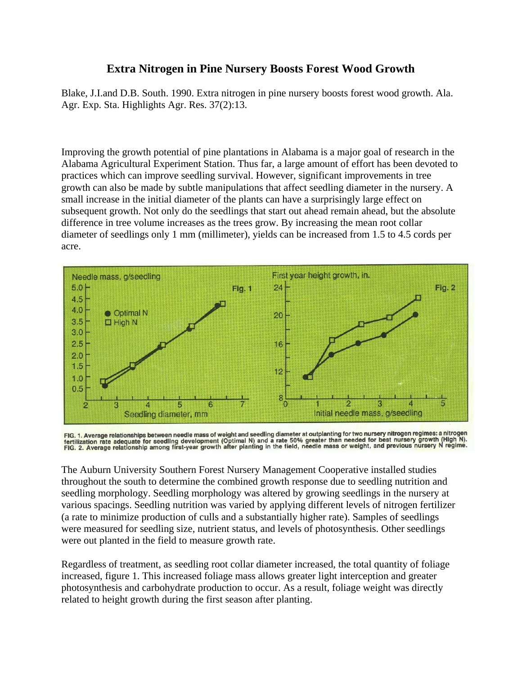## **Extra Nitrogen in Pine Nursery Boosts Forest Wood Growth**

Blake, J.I.and D.B. South. 1990. Extra nitrogen in pine nursery boosts forest wood growth. Ala. Agr. Exp. Sta. Highlights Agr. Res. 37(2):13.

Improving the growth potential of pine plantations in Alabama is a major goal of research in the Alabama Agricultural Experiment Station. Thus far, a large amount of effort has been devoted to practices which can improve seedling survival. However, significant improvements in tree growth can also be made by subtle manipulations that affect seedling diameter in the nursery. A small increase in the initial diameter of the plants can have a surprisingly large effect on subsequent growth. Not only do the seedlings that start out ahead remain ahead, but the absolute difference in tree volume increases as the trees grow. By increasing the mean root collar diameter of seedlings only 1 mm (millimeter), yields can be increased from 1.5 to 4.5 cords per acre.



FIG. 1. Average relationships between needle mass of weight and seedling diameter at outplanting for two nursery nitrogen regimes: a nitrogen<br>fertilization rate adequate for seedling development (Optimal N) and a rate 50%

The Auburn University Southern Forest Nursery Management Cooperative installed studies throughout the south to determine the combined growth response due to seedling nutrition and seedling morphology. Seedling morphology was altered by growing seedlings in the nursery at various spacings. Seedling nutrition was varied by applying different levels of nitrogen fertilizer (a rate to minimize production of culls and a substantially higher rate). Samples of seedlings were measured for seedling size, nutrient status, and levels of photosynthesis. Other seedlings were out planted in the field to measure growth rate.

Regardless of treatment, as seedling root collar diameter increased, the total quantity of foliage increased, figure 1. This increased foliage mass allows greater light interception and greater photosynthesis and carbohydrate production to occur. As a result, foliage weight was directly related to height growth during the first season after planting.